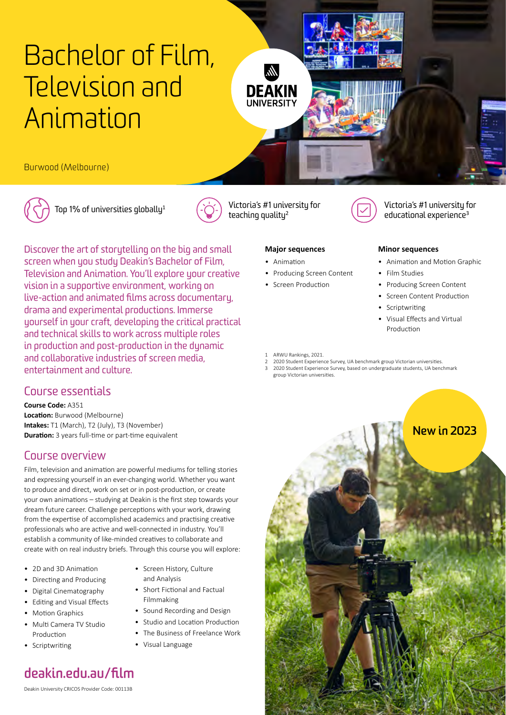# [Bachelor of Film,](http://www.deakin.edu.au/film)  [Television and](http://www.deakin.edu.au/film)  [Animation](http://www.deakin.edu.au/film)

Burwood (Melbourne)





## Course essentials

**Course Code:** A351 **Location:** Burwood (Melbourne) **Intakes:** T1 (March), T2 (July), T3 (November) **Duration:** 3 years full-time or part-time equivalent

## Course overview

Film, television and animation are powerful mediums for telling stories and expressing yourself in an ever-changing world. Whether you want to produce and direct, work on set or in post-production, or create your own animations – studying at Deakin is the first step towards your dream future career. Challenge perceptions with your work, drawing from the expertise of accomplished academics and practising creative professionals who are active and well-connected in industry. You'll establish a community of like-minded creatives to collaborate and create with on real industry briefs. Through this course you will explore:

- 2D and 3D Animation
- Directing and Producing
- Digital Cinematography
- Editing and Visual Effects
- Motion Graphics
- Multi Camera TV Studio Production
- Scriptwriting
- Screen History, Culture and Analysis
- Short Fictional and Factual Filmmaking
- Sound Recording and Design
- Studio and Location Production
- The Business of Freelance Work
- Visual Language

## **[deakin.edu.au/film](https://deakin.edu.au/film)**

Deakin University CRICOS Provider Code: 00113B



Top [1](#page-0-0)% of universities globally<sup>1</sup>  $\left(\sum_{i=1}^{N} \right)$  Victoria's #1 university for teaching quality<sup>[2](#page-0-1)</sup>

 $\mathbb{A}$ 

**DEAKIN UNIVERSITY** 



Victoria's #1 university for educational experience<sup>[3](#page-0-2)</sup>

#### **Major sequences**

- Animation
- Producing Screen Content
- Screen Production

#### **Minor sequences**

- Animation and Motion Graphic
- Film Studies
- Producing Screen Content
- Screen Content Production
- Scriptwriting
- Visual Effects and Virtual Production
- <span id="page-0-0"></span>ARWU Rankings, 2021.
- <span id="page-0-2"></span><span id="page-0-1"></span>2 2020 Student Experience Survey, UA benchmark group Victorian universities. 3 2020 Student Experience Survey, based on undergraduate students, UA benchmark group Victorian universities.